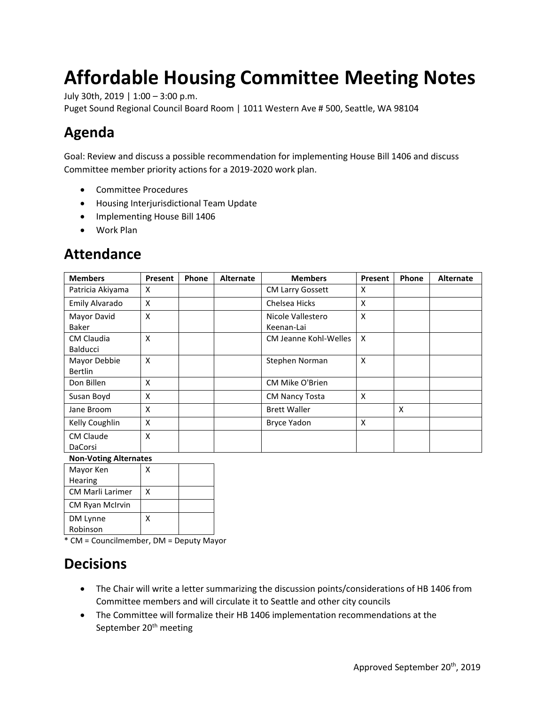# **Affordable Housing Committee Meeting Notes**

July 30th, 2019 | 1:00 – 3:00 p.m.

Puget Sound Regional Council Board Room | 1011 Western Ave # 500, Seattle, WA 98104

# **Agenda**

Goal: Review and discuss a possible recommendation for implementing House Bill 1406 and discuss Committee member priority actions for a 2019-2020 work plan.

- Committee Procedures
- Housing Interjurisdictional Team Update
- Implementing House Bill 1406
- Work Plan

| <b>Members</b>                       | Present | Phone | <b>Alternate</b> | <b>Members</b>                  | Present | <b>Phone</b>              | <b>Alternate</b> |
|--------------------------------------|---------|-------|------------------|---------------------------------|---------|---------------------------|------------------|
| Patricia Akiyama                     | X       |       |                  | <b>CM Larry Gossett</b>         | X       |                           |                  |
| Emily Alvarado                       | X       |       |                  | Chelsea Hicks                   | X       |                           |                  |
| Mayor David<br>Baker                 | X       |       |                  | Nicole Vallestero<br>Keenan-Lai | X       |                           |                  |
| <b>CM Claudia</b><br><b>Balducci</b> | X       |       |                  | CM Jeanne Kohl-Welles           | X       |                           |                  |
| Mayor Debbie<br><b>Bertlin</b>       | X       |       |                  | Stephen Norman                  | X       |                           |                  |
| Don Billen                           | X       |       |                  | CM Mike O'Brien                 |         |                           |                  |
| Susan Boyd                           | X       |       |                  | <b>CM Nancy Tosta</b>           | X       |                           |                  |
| Jane Broom                           | X       |       |                  | <b>Brett Waller</b>             |         | $\boldsymbol{\mathsf{X}}$ |                  |
| Kelly Coughlin                       | X       |       |                  | <b>Bryce Yadon</b>              | X       |                           |                  |
| <b>CM Claude</b><br>DaCorsi          | X       |       |                  |                                 |         |                           |                  |

# **Attendance**

| <b>Non-Voting Alternates</b> |  |
|------------------------------|--|
|------------------------------|--|

| Mayor Ken               |   |  |
|-------------------------|---|--|
| <b>Hearing</b>          |   |  |
| <b>CM Marli Larimer</b> | x |  |
| CM Ryan McIrvin         |   |  |
| DM Lynne                | x |  |
| Robinson                |   |  |

\* CM = Councilmember, DM = Deputy Mayor

### **Decisions**

- The Chair will write a letter summarizing the discussion points/considerations of HB 1406 from Committee members and will circulate it to Seattle and other city councils
- The Committee will formalize their HB 1406 implementation recommendations at the September 20<sup>th</sup> meeting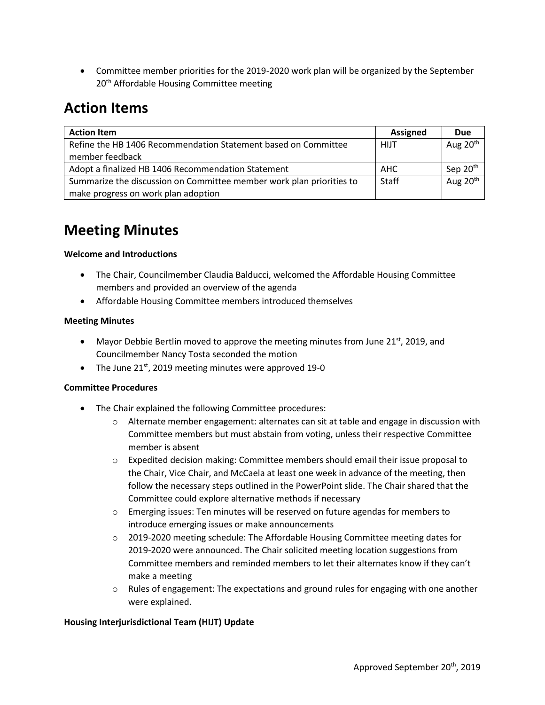• Committee member priorities for the 2019-2020 work plan will be organized by the September 20<sup>th</sup> Affordable Housing Committee meeting

# **Action Items**

| <b>Action Item</b>                                                   | <b>Assigned</b> | <b>Due</b>           |
|----------------------------------------------------------------------|-----------------|----------------------|
| Refine the HB 1406 Recommendation Statement based on Committee       | <b>HIJT</b>     | Aug 20 <sup>th</sup> |
| member feedback                                                      |                 |                      |
| Adopt a finalized HB 1406 Recommendation Statement                   | AHC             | Sep 20 <sup>th</sup> |
| Summarize the discussion on Committee member work plan priorities to | Staff           | Aug 20 <sup>th</sup> |
| make progress on work plan adoption                                  |                 |                      |

# **Meeting Minutes**

#### **Welcome and Introductions**

- The Chair, Councilmember Claudia Balducci, welcomed the Affordable Housing Committee members and provided an overview of the agenda
- Affordable Housing Committee members introduced themselves

#### **Meeting Minutes**

- Mayor Debbie Bertlin moved to approve the meeting minutes from June 21st, 2019, and Councilmember Nancy Tosta seconded the motion
- The June  $21^{st}$ , 2019 meeting minutes were approved 19-0

#### **Committee Procedures**

- The Chair explained the following Committee procedures:
	- $\circ$  Alternate member engagement: alternates can sit at table and engage in discussion with Committee members but must abstain from voting, unless their respective Committee member is absent
	- o Expedited decision making: Committee members should email their issue proposal to the Chair, Vice Chair, and McCaela at least one week in advance of the meeting, then follow the necessary steps outlined in the PowerPoint slide. The Chair shared that the Committee could explore alternative methods if necessary
	- o Emerging issues: Ten minutes will be reserved on future agendas for members to introduce emerging issues or make announcements
	- o 2019-2020 meeting schedule: The Affordable Housing Committee meeting dates for 2019-2020 were announced. The Chair solicited meeting location suggestions from Committee members and reminded members to let their alternates know if they can't make a meeting
	- $\circ$  Rules of engagement: The expectations and ground rules for engaging with one another were explained.

#### **Housing Interjurisdictional Team (HIJT) Update**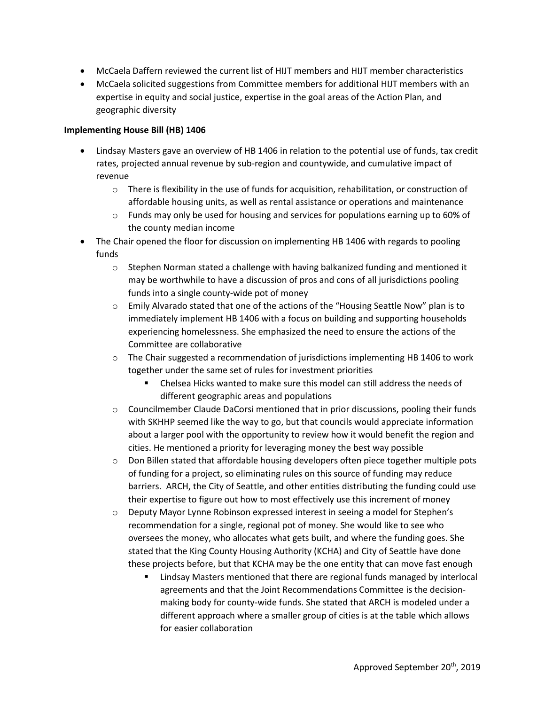- McCaela Daffern reviewed the current list of HIJT members and HIJT member characteristics
- McCaela solicited suggestions from Committee members for additional HIJT members with an expertise in equity and social justice, expertise in the goal areas of the Action Plan, and geographic diversity

#### **Implementing House Bill (HB) 1406**

- Lindsay Masters gave an overview of HB 1406 in relation to the potential use of funds, tax credit rates, projected annual revenue by sub-region and countywide, and cumulative impact of revenue
	- $\circ$  There is flexibility in the use of funds for acquisition, rehabilitation, or construction of affordable housing units, as well as rental assistance or operations and maintenance
	- $\circ$  Funds may only be used for housing and services for populations earning up to 60% of the county median income
- The Chair opened the floor for discussion on implementing HB 1406 with regards to pooling funds
	- $\circ$  Stephen Norman stated a challenge with having balkanized funding and mentioned it may be worthwhile to have a discussion of pros and cons of all jurisdictions pooling funds into a single county-wide pot of money
	- $\circ$  Emily Alvarado stated that one of the actions of the "Housing Seattle Now" plan is to immediately implement HB 1406 with a focus on building and supporting households experiencing homelessness. She emphasized the need to ensure the actions of the Committee are collaborative
	- $\circ$  The Chair suggested a recommendation of jurisdictions implementing HB 1406 to work together under the same set of rules for investment priorities
		- Chelsea Hicks wanted to make sure this model can still address the needs of different geographic areas and populations
	- $\circ$  Councilmember Claude DaCorsi mentioned that in prior discussions, pooling their funds with SKHHP seemed like the way to go, but that councils would appreciate information about a larger pool with the opportunity to review how it would benefit the region and cities. He mentioned a priority for leveraging money the best way possible
	- $\circ$  Don Billen stated that affordable housing developers often piece together multiple pots of funding for a project, so eliminating rules on this source of funding may reduce barriers. ARCH, the City of Seattle, and other entities distributing the funding could use their expertise to figure out how to most effectively use this increment of money
	- $\circ$  Deputy Mayor Lynne Robinson expressed interest in seeing a model for Stephen's recommendation for a single, regional pot of money. She would like to see who oversees the money, who allocates what gets built, and where the funding goes. She stated that the King County Housing Authority (KCHA) and City of Seattle have done these projects before, but that KCHA may be the one entity that can move fast enough
		- Lindsay Masters mentioned that there are regional funds managed by interlocal agreements and that the Joint Recommendations Committee is the decisionmaking body for county-wide funds. She stated that ARCH is modeled under a different approach where a smaller group of cities is at the table which allows for easier collaboration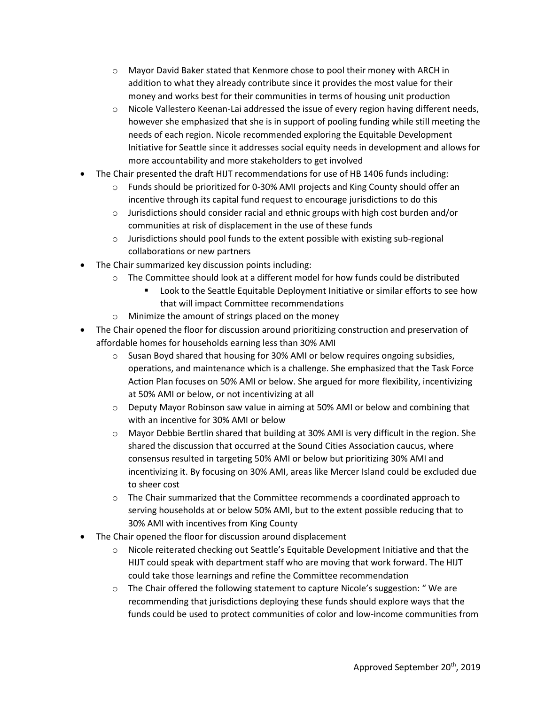- o Mayor David Baker stated that Kenmore chose to pool their money with ARCH in addition to what they already contribute since it provides the most value for their money and works best for their communities in terms of housing unit production
- $\circ$  Nicole Vallestero Keenan-Lai addressed the issue of every region having different needs, however she emphasized that she is in support of pooling funding while still meeting the needs of each region. Nicole recommended exploring the Equitable Development Initiative for Seattle since it addresses social equity needs in development and allows for more accountability and more stakeholders to get involved
- The Chair presented the draft HIJT recommendations for use of HB 1406 funds including:
	- $\circ$  Funds should be prioritized for 0-30% AMI projects and King County should offer an incentive through its capital fund request to encourage jurisdictions to do this
	- $\circ$  Jurisdictions should consider racial and ethnic groups with high cost burden and/or communities at risk of displacement in the use of these funds
	- o Jurisdictions should pool funds to the extent possible with existing sub-regional collaborations or new partners
- The Chair summarized key discussion points including:
	- $\circ$  The Committee should look at a different model for how funds could be distributed
		- Look to the Seattle Equitable Deployment Initiative or similar efforts to see how that will impact Committee recommendations
	- o Minimize the amount of strings placed on the money
- The Chair opened the floor for discussion around prioritizing construction and preservation of affordable homes for households earning less than 30% AMI
	- $\circ$  Susan Boyd shared that housing for 30% AMI or below requires ongoing subsidies, operations, and maintenance which is a challenge. She emphasized that the Task Force Action Plan focuses on 50% AMI or below. She argued for more flexibility, incentivizing at 50% AMI or below, or not incentivizing at all
	- $\circ$  Deputy Mayor Robinson saw value in aiming at 50% AMI or below and combining that with an incentive for 30% AMI or below
	- o Mayor Debbie Bertlin shared that building at 30% AMI is very difficult in the region. She shared the discussion that occurred at the Sound Cities Association caucus, where consensus resulted in targeting 50% AMI or below but prioritizing 30% AMI and incentivizing it. By focusing on 30% AMI, areas like Mercer Island could be excluded due to sheer cost
	- $\circ$  The Chair summarized that the Committee recommends a coordinated approach to serving households at or below 50% AMI, but to the extent possible reducing that to 30% AMI with incentives from King County
- The Chair opened the floor for discussion around displacement
	- o Nicole reiterated checking out Seattle's Equitable Development Initiative and that the HIJT could speak with department staff who are moving that work forward. The HIJT could take those learnings and refine the Committee recommendation
	- $\circ$  The Chair offered the following statement to capture Nicole's suggestion: "We are recommending that jurisdictions deploying these funds should explore ways that the funds could be used to protect communities of color and low-income communities from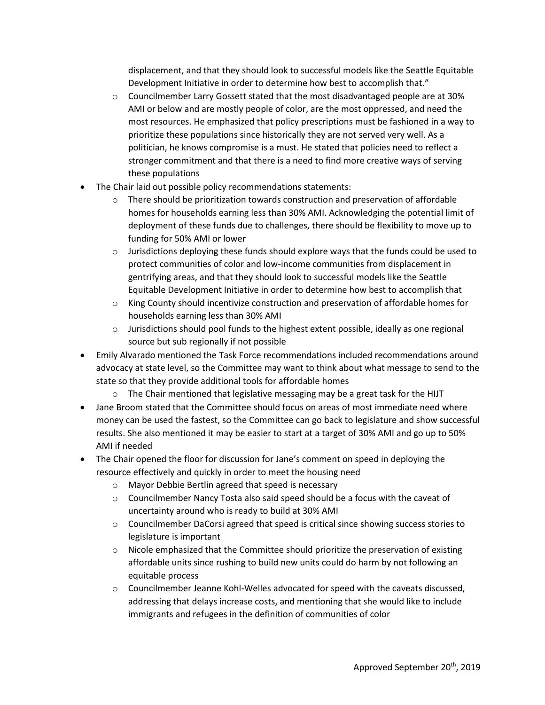displacement, and that they should look to successful models like the Seattle Equitable Development Initiative in order to determine how best to accomplish that."

- $\circ$  Councilmember Larry Gossett stated that the most disadvantaged people are at 30% AMI or below and are mostly people of color, are the most oppressed, and need the most resources. He emphasized that policy prescriptions must be fashioned in a way to prioritize these populations since historically they are not served very well. As a politician, he knows compromise is a must. He stated that policies need to reflect a stronger commitment and that there is a need to find more creative ways of serving these populations
- The Chair laid out possible policy recommendations statements:
	- $\circ$  There should be prioritization towards construction and preservation of affordable homes for households earning less than 30% AMI. Acknowledging the potential limit of deployment of these funds due to challenges, there should be flexibility to move up to funding for 50% AMI or lower
	- $\circ$  Jurisdictions deploying these funds should explore ways that the funds could be used to protect communities of color and low-income communities from displacement in gentrifying areas, and that they should look to successful models like the Seattle Equitable Development Initiative in order to determine how best to accomplish that
	- o King County should incentivize construction and preservation of affordable homes for households earning less than 30% AMI
	- $\circ$  Jurisdictions should pool funds to the highest extent possible, ideally as one regional source but sub regionally if not possible
- Emily Alvarado mentioned the Task Force recommendations included recommendations around advocacy at state level, so the Committee may want to think about what message to send to the state so that they provide additional tools for affordable homes
	- $\circ$  The Chair mentioned that legislative messaging may be a great task for the HIJT
- Jane Broom stated that the Committee should focus on areas of most immediate need where money can be used the fastest, so the Committee can go back to legislature and show successful results. She also mentioned it may be easier to start at a target of 30% AMI and go up to 50% AMI if needed
- The Chair opened the floor for discussion for Jane's comment on speed in deploying the resource effectively and quickly in order to meet the housing need
	- o Mayor Debbie Bertlin agreed that speed is necessary
	- $\circ$  Councilmember Nancy Tosta also said speed should be a focus with the caveat of uncertainty around who is ready to build at 30% AMI
	- $\circ$  Councilmember DaCorsi agreed that speed is critical since showing success stories to legislature is important
	- $\circ$  Nicole emphasized that the Committee should prioritize the preservation of existing affordable units since rushing to build new units could do harm by not following an equitable process
	- $\circ$  Councilmember Jeanne Kohl-Welles advocated for speed with the caveats discussed, addressing that delays increase costs, and mentioning that she would like to include immigrants and refugees in the definition of communities of color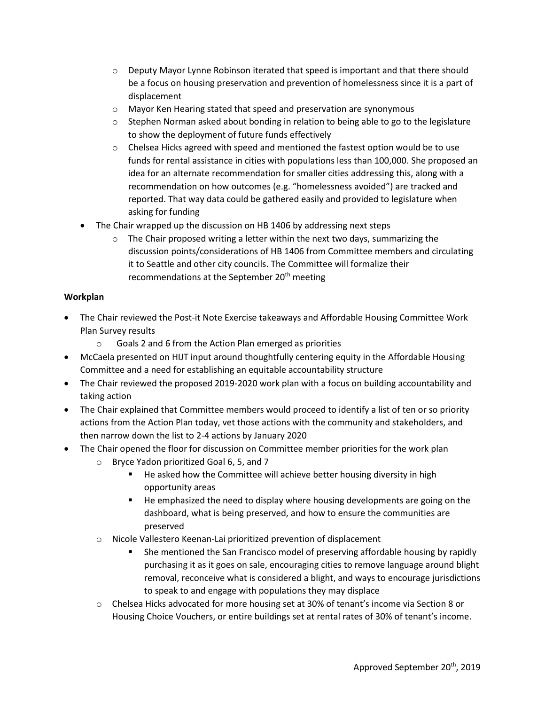- $\circ$  Deputy Mayor Lynne Robinson iterated that speed is important and that there should be a focus on housing preservation and prevention of homelessness since it is a part of displacement
- o Mayor Ken Hearing stated that speed and preservation are synonymous
- $\circ$  Stephen Norman asked about bonding in relation to being able to go to the legislature to show the deployment of future funds effectively
- $\circ$  Chelsea Hicks agreed with speed and mentioned the fastest option would be to use funds for rental assistance in cities with populations less than 100,000. She proposed an idea for an alternate recommendation for smaller cities addressing this, along with a recommendation on how outcomes (e.g. "homelessness avoided") are tracked and reported. That way data could be gathered easily and provided to legislature when asking for funding
- The Chair wrapped up the discussion on HB 1406 by addressing next steps
	- $\circ$  The Chair proposed writing a letter within the next two days, summarizing the discussion points/considerations of HB 1406 from Committee members and circulating it to Seattle and other city councils. The Committee will formalize their recommendations at the September 20<sup>th</sup> meeting

#### **Workplan**

- The Chair reviewed the Post-it Note Exercise takeaways and Affordable Housing Committee Work Plan Survey results
	- o Goals 2 and 6 from the Action Plan emerged as priorities
- McCaela presented on HIJT input around thoughtfully centering equity in the Affordable Housing Committee and a need for establishing an equitable accountability structure
- The Chair reviewed the proposed 2019-2020 work plan with a focus on building accountability and taking action
- The Chair explained that Committee members would proceed to identify a list of ten or so priority actions from the Action Plan today, vet those actions with the community and stakeholders, and then narrow down the list to 2-4 actions by January 2020
- The Chair opened the floor for discussion on Committee member priorities for the work plan
	- o Bryce Yadon prioritized Goal 6, 5, and 7
		- He asked how the Committee will achieve better housing diversity in high opportunity areas
		- He emphasized the need to display where housing developments are going on the dashboard, what is being preserved, and how to ensure the communities are preserved
	- o Nicole Vallestero Keenan-Lai prioritized prevention of displacement
		- She mentioned the San Francisco model of preserving affordable housing by rapidly purchasing it as it goes on sale, encouraging cities to remove language around blight removal, reconceive what is considered a blight, and ways to encourage jurisdictions to speak to and engage with populations they may displace
	- $\circ$  Chelsea Hicks advocated for more housing set at 30% of tenant's income via Section 8 or Housing Choice Vouchers, or entire buildings set at rental rates of 30% of tenant's income.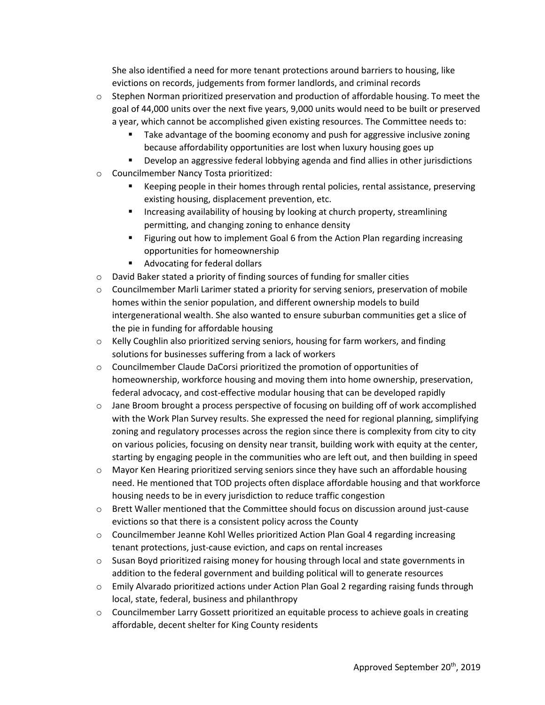She also identified a need for more tenant protections around barriers to housing, like evictions on records, judgements from former landlords, and criminal records

- $\circ$  Stephen Norman prioritized preservation and production of affordable housing. To meet the goal of 44,000 units over the next five years, 9,000 units would need to be built or preserved a year, which cannot be accomplished given existing resources. The Committee needs to:
	- Take advantage of the booming economy and push for aggressive inclusive zoning because affordability opportunities are lost when luxury housing goes up
	- Develop an aggressive federal lobbying agenda and find allies in other jurisdictions
- o Councilmember Nancy Tosta prioritized:
	- Keeping people in their homes through rental policies, rental assistance, preserving existing housing, displacement prevention, etc.
	- **EXED Increasing availability of housing by looking at church property, streamlining** permitting, and changing zoning to enhance density
	- **EXECT** Figuring out how to implement Goal 6 from the Action Plan regarding increasing opportunities for homeownership
	- Advocating for federal dollars
- $\circ$  David Baker stated a priority of finding sources of funding for smaller cities
- o Councilmember Marli Larimer stated a priority for serving seniors, preservation of mobile homes within the senior population, and different ownership models to build intergenerational wealth. She also wanted to ensure suburban communities get a slice of the pie in funding for affordable housing
- o Kelly Coughlin also prioritized serving seniors, housing for farm workers, and finding solutions for businesses suffering from a lack of workers
- o Councilmember Claude DaCorsi prioritized the promotion of opportunities of homeownership, workforce housing and moving them into home ownership, preservation, federal advocacy, and cost-effective modular housing that can be developed rapidly
- $\circ$  Jane Broom brought a process perspective of focusing on building off of work accomplished with the Work Plan Survey results. She expressed the need for regional planning, simplifying zoning and regulatory processes across the region since there is complexity from city to city on various policies, focusing on density near transit, building work with equity at the center, starting by engaging people in the communities who are left out, and then building in speed
- o Mayor Ken Hearing prioritized serving seniors since they have such an affordable housing need. He mentioned that TOD projects often displace affordable housing and that workforce housing needs to be in every jurisdiction to reduce traffic congestion
- o Brett Waller mentioned that the Committee should focus on discussion around just-cause evictions so that there is a consistent policy across the County
- $\circ$  Councilmember Jeanne Kohl Welles prioritized Action Plan Goal 4 regarding increasing tenant protections, just-cause eviction, and caps on rental increases
- $\circ$  Susan Boyd prioritized raising money for housing through local and state governments in addition to the federal government and building political will to generate resources
- o Emily Alvarado prioritized actions under Action Plan Goal 2 regarding raising funds through local, state, federal, business and philanthropy
- o Councilmember Larry Gossett prioritized an equitable process to achieve goals in creating affordable, decent shelter for King County residents